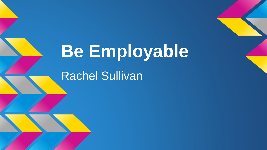# **Be Employable**

Rachel Sullivan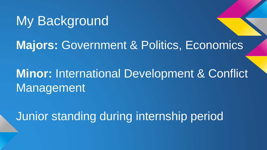## My Background

#### **Majors: Government & Politics, Economics**

### **Minor:** International Development & Conflict Management

Junior standing during internship period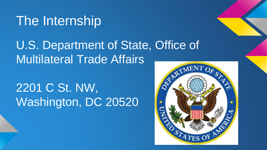## The Internship

### U.S. Department of State, Office of Multilateral Trade Affairs

## 2201 C St. NW, Washington, DC 20520

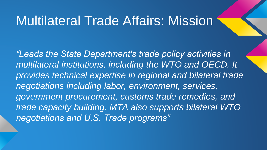#### Multilateral Trade Affairs: Mission

*"Leads the State Department's trade policy activities in multilateral institutions, including the WTO and OECD. It provides technical expertise in regional and bilateral trade negotiations including labor, environment, services, government procurement, customs trade remedies, and trade capacity building. MTA also supports bilateral WTO negotiations and U.S. Trade programs"*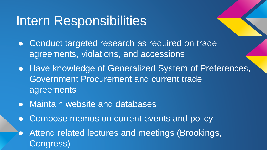### Intern Responsibilities

- Conduct targeted research as required on trade agreements, violations, and accessions
- Have knowledge of Generalized System of Preferences, Government Procurement and current trade agreements
- Maintain website and databases
- Compose memos on current events and policy
- **Attend related lectures and meetings (Brookings,** Congress)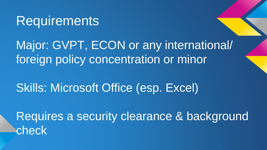#### **Requirements**

Major: GVPT, ECON or any international/ foreign policy concentration or minor

Skills: Microsoft Office (esp. Excel)

Requires a security clearance & background check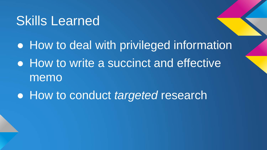### Skills Learned

● How to deal with privileged information

- How to write a succinct and effective memo
- How to conduct *targeted* research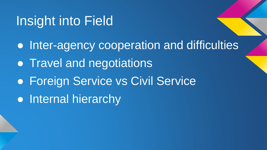## Insight into Field

● Inter-agency cooperation and difficulties • Travel and negotiations **• Foreign Service vs Civil Service** • Internal hierarchy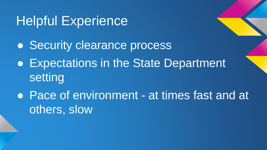## Helpful Experience

- Security clearance process
- Expectations in the State Department setting
- Pace of environment at times fast and at others, slow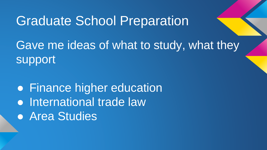#### Graduate School Preparation

Gave me ideas of what to study, what they support

• Finance higher education • International trade law ● Area Studies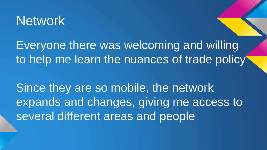#### **Network**

Everyone there was welcoming and willing to help me learn the nuances of trade policy

Since they are so mobile, the network expands and changes, giving me access to several different areas and people